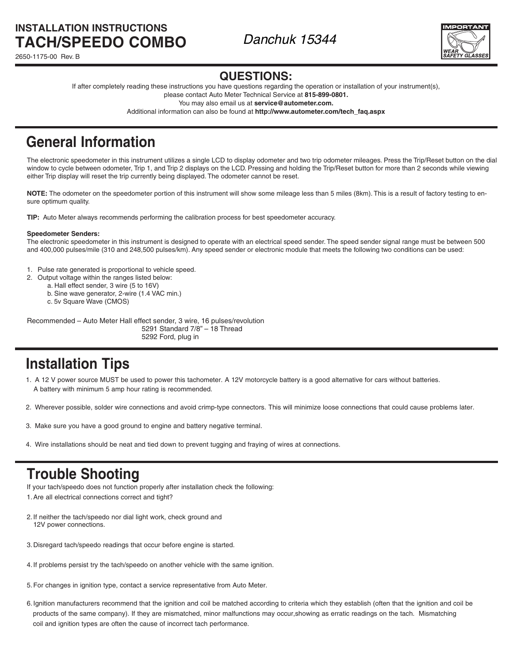**INSTALLATION INSTRUCTIONS Tach/speedo combo**

2650-1175-00 Rev. B

*Danchuk 15344*



### **QUESTIONS:**

If after completely reading these instructions you have questions regarding the operation or installation of your instrument(s),

please contact Auto Meter Technical Service at **815-899-0801.**

You may also email us at **service@autometer.com.**

Additional information can also be found at **http://www.autometer.com/tech\_faq.aspx**

## **General Information**

The electronic speedometer in this instrument utilizes a single LCD to display odometer and two trip odometer mileages. Press the Trip/Reset button on the dial window to cycle between odometer, Trip 1, and Trip 2 displays on the LCD. Pressing and holding the Trip/Reset button for more than 2 seconds while viewing either Trip display will reset the trip currently being displayed. The odometer cannot be reset.

**NOTE:** The odometer on the speedometer portion of this instrument will show some mileage less than 5 miles (8km). This is a result of factory testing to ensure optimum quality.

**TIP:** Auto Meter always recommends performing the calibration process for best speedometer accuracy.

#### **Speedometer Senders:**

The electronic speedometer in this instrument is designed to operate with an electrical speed sender. The speed sender signal range must be between 500 and 400,000 pulses/mile (310 and 248,500 pulses/km). Any speed sender or electronic module that meets the following two conditions can be used:

1. Pulse rate generated is proportional to vehicle speed.

- 2. Output voltage within the ranges listed below:
	- a. Hall effect sender, 3 wire (5 to 16V)
	- b. Sine wave generator, 2-wire (1.4 VAC min.)
	- c. 5v Square Wave (CMOS)

Recommended – Auto Meter Hall effect sender, 3 wire, 16 pulses/revolution 5291 Standard 7/8" – 18 Thread 5292 Ford, plug in

## **Installation Tips**

- 1. A 12 V power source MUST be used to power this tachometer. A 12V motorcycle battery is a good alternative for cars without batteries. A battery with minimum 5 amp hour rating is recommended.
- 2. Wherever possible, solder wire connections and avoid crimp-type connectors. This will minimize loose connections that could cause problems later.
- 3. Make sure you have a good ground to engine and battery negative terminal.
- 4. Wire installations should be neat and tied down to prevent tugging and fraying of wires at connections.

## **Trouble Shooting**

If your tach/speedo does not function properly after installation check the following:

- 1.Are all electrical connections correct and tight?
- 2.If neither the tach/speedo nor dial light work, check ground and 12V power connections.
- 3.Disregard tach/speedo readings that occur before engine is started.
- 4.If problems persist try the tach/speedo on another vehicle with the same ignition.
- 5.For changes in ignition type, contact a service representative from Auto Meter.
- 6.Ignition manufacturers recommend that the ignition and coil be matched according to criteria which they establish (often that the ignition and coil be products of the same company). If they are mismatched, minor malfunctions may occur,showing as erratic readings on the tach. Mismatching coil and ignition types are often the cause of incorrect tach performance.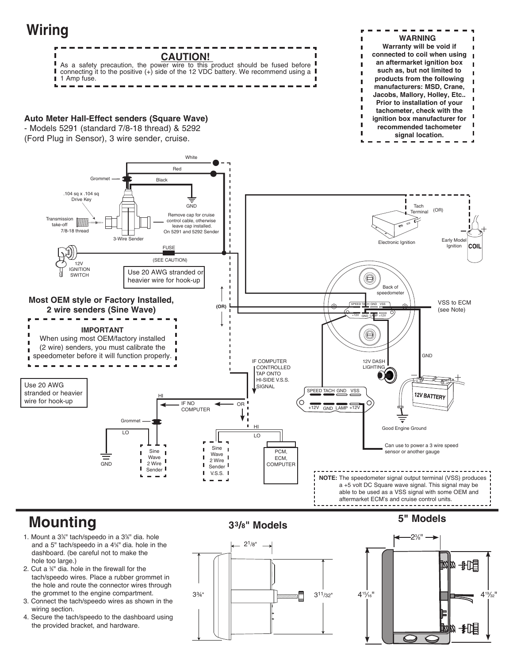

## **Mounting 33/8" Models**

- 1. Mount a 33 ⁄8" tach/speedo in a 33 ⁄8" dia. hole and a 5" tach/speedo in a 45 ⁄8" dia. hole in the dashboard. (be careful not to make the hole too large.)
- 2. Cut a 3 ⁄8" dia. hole in the firewall for the tach/speedo wires. Place a rubber grommet in the hole and route the connector wires through the grommet to the engine compartment.
- 3. Connect the tach/speedo wires as shown in the wiring section.
- 4. Secure the tach/speedo to the dashboard using the provided bracket, and hardware.







**5" Models**